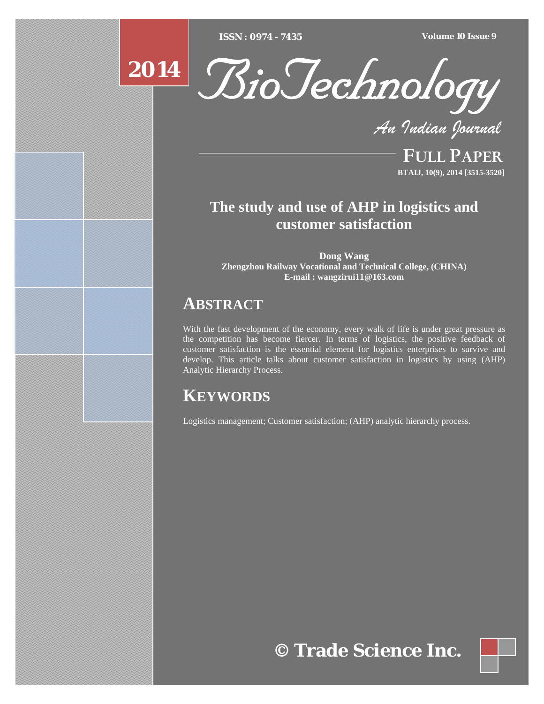[Type text] [Type text] [Type text] *ISSN : 0974 - 7435 Volume 10 Issue 9*





*An Indian Journal*

FULL PAPER **BTAIJ, 10(9), 2014 [3515-3520]**

# **The study and use of AHP in logistics and customer satisfaction**

**Dong Wang Zhengzhou Railway Vocational and Technical College, (CHINA) E-mail : wangzirui11@163.com**

# **ABSTRACT**

With the fast development of the economy, every walk of life is under great pressure as the competition has become fiercer. In terms of logistics, the positive feedback of customer satisfaction is the essential element for logistics enterprises to survive and develop. This article talks about customer satisfaction in logistics by using (AHP) Analytic Hierarchy Process.

# **KEYWORDS**

Logistics management; Customer satisfaction; (AHP) analytic hierarchy process.

# **© Trade Science Inc.**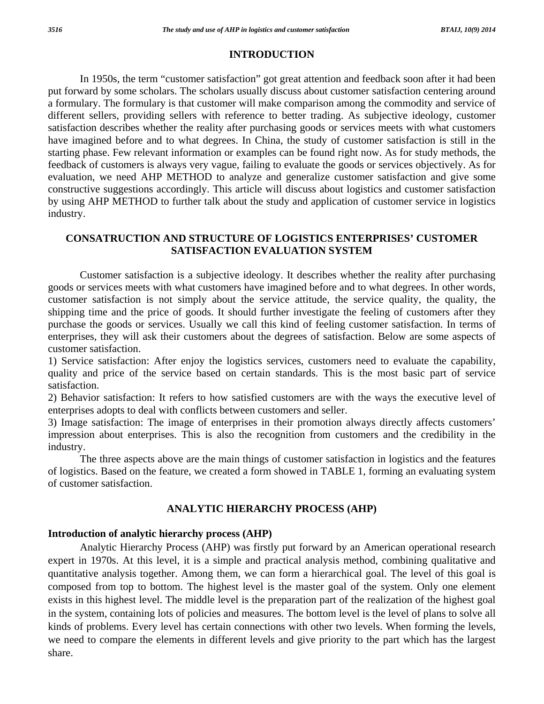### **INTRODUCTION**

 In 1950s, the term "customer satisfaction" got great attention and feedback soon after it had been put forward by some scholars. The scholars usually discuss about customer satisfaction centering around a formulary. The formulary is that customer will make comparison among the commodity and service of different sellers, providing sellers with reference to better trading. As subjective ideology, customer satisfaction describes whether the reality after purchasing goods or services meets with what customers have imagined before and to what degrees. In China, the study of customer satisfaction is still in the starting phase. Few relevant information or examples can be found right now. As for study methods, the feedback of customers is always very vague, failing to evaluate the goods or services objectively. As for evaluation, we need AHP METHOD to analyze and generalize customer satisfaction and give some constructive suggestions accordingly. This article will discuss about logistics and customer satisfaction by using AHP METHOD to further talk about the study and application of customer service in logistics industry.

## **CONSATRUCTION AND STRUCTURE OF LOGISTICS ENTERPRISES' CUSTOMER SATISFACTION EVALUATION SYSTEM**

 Customer satisfaction is a subjective ideology. It describes whether the reality after purchasing goods or services meets with what customers have imagined before and to what degrees. In other words, customer satisfaction is not simply about the service attitude, the service quality, the quality, the shipping time and the price of goods. It should further investigate the feeling of customers after they purchase the goods or services. Usually we call this kind of feeling customer satisfaction. In terms of enterprises, they will ask their customers about the degrees of satisfaction. Below are some aspects of customer satisfaction.

1) Service satisfaction: After enjoy the logistics services, customers need to evaluate the capability, quality and price of the service based on certain standards. This is the most basic part of service satisfaction.

2) Behavior satisfaction: It refers to how satisfied customers are with the ways the executive level of enterprises adopts to deal with conflicts between customers and seller.

3) Image satisfaction: The image of enterprises in their promotion always directly affects customers' impression about enterprises. This is also the recognition from customers and the credibility in the industry.

 The three aspects above are the main things of customer satisfaction in logistics and the features of logistics. Based on the feature, we created a form showed in TABLE 1, forming an evaluating system of customer satisfaction.

# **ANALYTIC HIERARCHY PROCESS (AHP)**

### **Introduction of analytic hierarchy process (AHP)**

 Analytic Hierarchy Process (AHP) was firstly put forward by an American operational research expert in 1970s. At this level, it is a simple and practical analysis method, combining qualitative and quantitative analysis together. Among them, we can form a hierarchical goal. The level of this goal is composed from top to bottom. The highest level is the master goal of the system. Only one element exists in this highest level. The middle level is the preparation part of the realization of the highest goal in the system, containing lots of policies and measures. The bottom level is the level of plans to solve all kinds of problems. Every level has certain connections with other two levels. When forming the levels, we need to compare the elements in different levels and give priority to the part which has the largest share.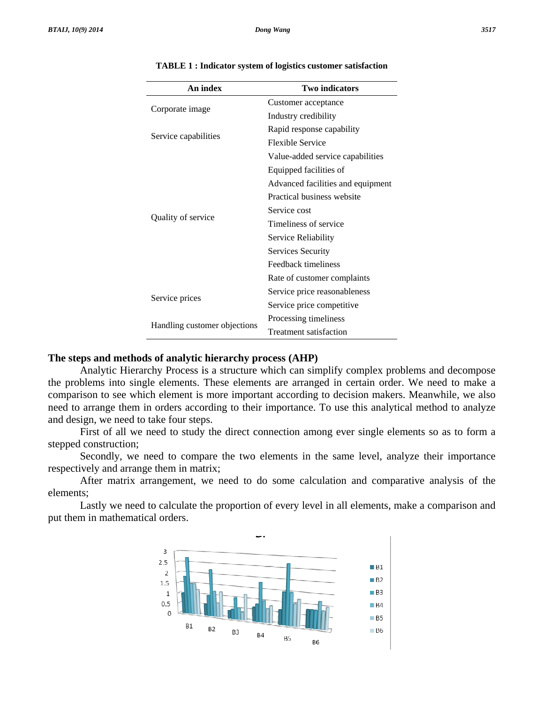| An index                     | <b>Two indicators</b>             |
|------------------------------|-----------------------------------|
| Corporate image              | Customer acceptance               |
|                              | Industry credibility              |
| Service capabilities         | Rapid response capability         |
|                              | <b>Flexible Service</b>           |
| Quality of service           | Value-added service capabilities  |
|                              | Equipped facilities of            |
|                              | Advanced facilities and equipment |
|                              | Practical business website        |
|                              | Service cost                      |
|                              | Timeliness of service             |
|                              | Service Reliability               |
|                              | Services Security                 |
|                              | Feedback timeliness               |
|                              | Rate of customer complaints       |
| Service prices               | Service price reasonableness      |
|                              | Service price competitive         |
| Handling customer objections | Processing timeliness             |
|                              | Treatment satisfaction            |

#### **TABLE 1 : I Indicator syste em of logistics s customer sat isfaction**

#### **The steps and methods of analytic hierarchy process (AHP)**

the problems into single elements. These elements are arranged in certain order. We need to make a comparison to see which element is more important according to decision makers. Meanwhile, we also need to arrange them in orders according to their importance. To use this analytical method to analyze and design, we need to take four steps.

s stepped cons struction; First of all we need to study the direct connection among ever single elements so as to form a

respectively and arrange them in matrix; Secondly, we need to compare the two elements in the same level, analyze their importance

e elements; After matrix arrangement, we need to do some calculation and comparative analysis of the

put them in mathematical orders. Lastly we need to calculate the proportion of every level in all elements, make a comparison and

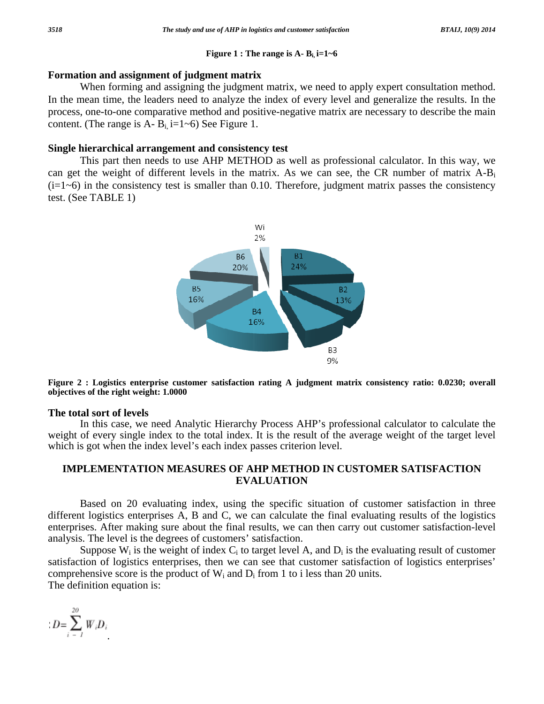#### Figure 1 : The range is A-  $B_i$  i=1~6

#### Formation and assignment of judgment matrix

When forming and assigning the judgment matrix, we need to apply expert consultation method. In the mean time, the leaders need to analyze the index of every level and generalize the results. In the process, one-to-one comparative method and positive-negative matrix are necessary to describe the main content. (The range is A-  $B_i$  i=1~6) See Figure 1.

#### Single hierarchical arrangement and consistency test

This part then needs to use AHP METHOD as well as professional calculator. In this way, we can get the weight of different levels in the matrix. As we can see, the CR number of matrix  $A-B_i$  $(i=1-6)$  in the consistency test is smaller than 0.10. Therefore, judgment matrix passes the consistency test. (See TABLE  $1$ )



Figure 2 : Logistics enterprise customer satisfaction rating A judgment matrix consistency ratio: 0.0230; overall objectives of the right weight: 1.0000

#### The total sort of levels

In this case, we need Analytic Hierarchy Process AHP's professional calculator to calculate the weight of every single index to the total index. It is the result of the average weight of the target level which is got when the index level's each index passes criterion level.

# **IMPLEMENTATION MEASURES OF AHP METHOD IN CUSTOMER SATISFACTION EVALUATION**

Based on 20 evaluating index, using the specific situation of customer satisfaction in three different logistics enterprises A, B and C, we can calculate the final evaluating results of the logistics enterprises. After making sure about the final results, we can then carry out customer satisfaction-level analysis. The level is the degrees of customers' satisfaction.

Suppose  $W_i$  is the weight of index  $C_i$  to target level A, and  $D_i$  is the evaluating result of customer satisfaction of logistics enterprises, then we can see that customer satisfaction of logistics enterprises' comprehensive score is the product of  $W_i$  and  $D_i$  from 1 to i less than 20 units. The definition equation is:

$$
:D\mathbin=\sum_{i=-I}^{20} W_i D_i
$$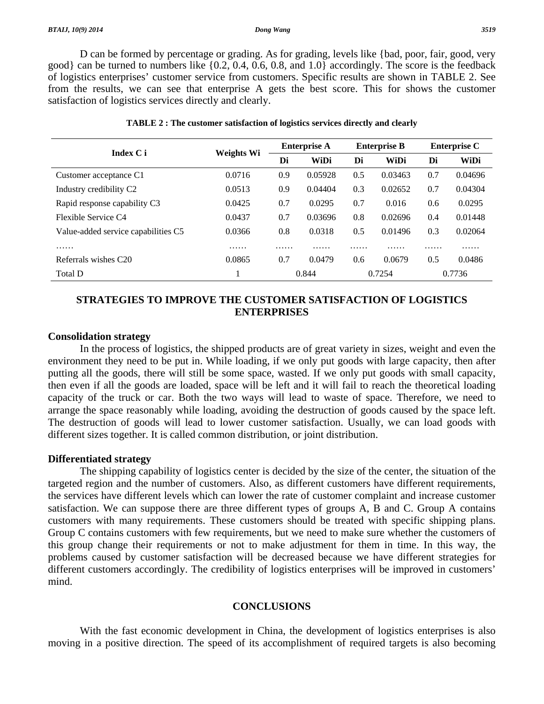D can be formed by percentage or grading. As for grading, levels like {bad, poor, fair, good, very good} can be turned to numbers like {0.2, 0.4, 0.6, 0.8, and 1.0} accordingly. The score is the feedback of logistics enterprises' customer service from customers. Specific results are shown in TABLE 2. See from the results, we can see that enterprise A gets the best score. This for shows the customer satisfaction of logistics services directly and clearly.

| Index C i                           | <b>Weights Wi</b> | <b>Enterprise A</b> |         | <b>Enterprise B</b> |         | <b>Enterprise C</b> |         |
|-------------------------------------|-------------------|---------------------|---------|---------------------|---------|---------------------|---------|
|                                     |                   | Di                  | WiDi    | Di                  | WiDi    | Di                  | WiDi    |
| Customer acceptance C1              | 0.0716            | 0.9                 | 0.05928 | 0.5                 | 0.03463 | 0.7                 | 0.04696 |
| Industry credibility C2             | 0.0513            | 0.9                 | 0.04404 | 0.3                 | 0.02652 | 0.7                 | 0.04304 |
| Rapid response capability C3        | 0.0425            | 0.7                 | 0.0295  | 0.7                 | 0.016   | $0.6^{\circ}$       | 0.0295  |
| Flexible Service C4                 | 0.0437            | 0.7                 | 0.03696 | 0.8                 | 0.02696 | 0.4                 | 0.01448 |
| Value-added service capabilities C5 | 0.0366            | 0.8                 | 0.0318  | 0.5                 | 0.01496 | 0.3                 | 0.02064 |
| .                                   | .                 | .                   | .       | .                   | .       | .                   | .       |
| Referrals wishes C20                | 0.0865            | 0.7                 | 0.0479  | 0.6                 | 0.0679  | 0.5                 | 0.0486  |
| Total D                             |                   |                     | 0.844   |                     | 0.7254  |                     | 0.7736  |

#### **TABLE 2 : The customer satisfaction of logistics services directly and clearly**

## **STRATEGIES TO IMPROVE THE CUSTOMER SATISFACTION OF LOGISTICS ENTERPRISES**

### **Consolidation strategy**

 In the process of logistics, the shipped products are of great variety in sizes, weight and even the environment they need to be put in. While loading, if we only put goods with large capacity, then after putting all the goods, there will still be some space, wasted. If we only put goods with small capacity, then even if all the goods are loaded, space will be left and it will fail to reach the theoretical loading capacity of the truck or car. Both the two ways will lead to waste of space. Therefore, we need to arrange the space reasonably while loading, avoiding the destruction of goods caused by the space left. The destruction of goods will lead to lower customer satisfaction. Usually, we can load goods with different sizes together. It is called common distribution, or joint distribution.

#### **Differentiated strategy**

 The shipping capability of logistics center is decided by the size of the center, the situation of the targeted region and the number of customers. Also, as different customers have different requirements, the services have different levels which can lower the rate of customer complaint and increase customer satisfaction. We can suppose there are three different types of groups A, B and C. Group A contains customers with many requirements. These customers should be treated with specific shipping plans. Group C contains customers with few requirements, but we need to make sure whether the customers of this group change their requirements or not to make adjustment for them in time. In this way, the problems caused by customer satisfaction will be decreased because we have different strategies for different customers accordingly. The credibility of logistics enterprises will be improved in customers' mind.

## **CONCLUSIONS**

 With the fast economic development in China, the development of logistics enterprises is also moving in a positive direction. The speed of its accomplishment of required targets is also becoming